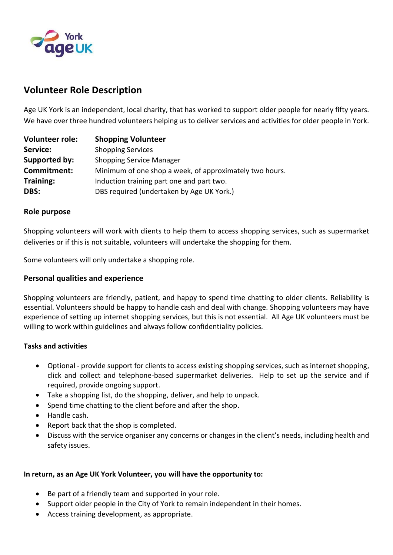

# **Volunteer Role Description**

Age UK York is an independent, local charity, that has worked to support older people for nearly fifty years. We have over three hundred volunteers helping us to deliver services and activities for older people in York.

| <b>Volunteer role:</b> | <b>Shopping Volunteer</b>                               |
|------------------------|---------------------------------------------------------|
| Service:               | <b>Shopping Services</b>                                |
| Supported by:          | <b>Shopping Service Manager</b>                         |
| Commitment:            | Minimum of one shop a week, of approximately two hours. |
| <b>Training:</b>       | Induction training part one and part two.               |
| DBS:                   | DBS required (undertaken by Age UK York.)               |

#### **Role purpose**

Shopping volunteers will work with clients to help them to access shopping services, such as supermarket deliveries or if this is not suitable, volunteers will undertake the shopping for them.

Some volunteers will only undertake a shopping role.

### **Personal qualities and experience**

Shopping volunteers are friendly, patient, and happy to spend time chatting to older clients. Reliability is essential. Volunteers should be happy to handle cash and deal with change. Shopping volunteers may have experience of setting up internet shopping services, but this is not essential. All Age UK volunteers must be willing to work within guidelines and always follow confidentiality policies.

#### **Tasks and activities**

- Optional provide support for clients to access existing shopping services, such as internet shopping, click and collect and telephone-based supermarket deliveries. Help to set up the service and if required, provide ongoing support.
- Take a shopping list, do the shopping, deliver, and help to unpack.
- Spend time chatting to the client before and after the shop.
- Handle cash.
- Report back that the shop is completed.
- Discuss with the service organiser any concerns or changes in the client's needs, including health and safety issues.

#### **In return, as an Age UK York Volunteer, you will have the opportunity to:**

- Be part of a friendly team and supported in your role.
- Support older people in the City of York to remain independent in their homes.
- Access training development, as appropriate.